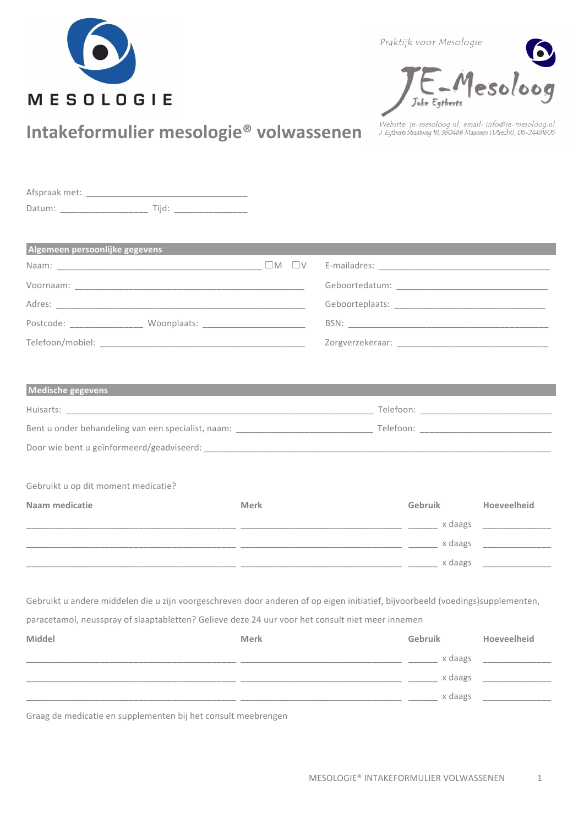

Praktijk voor Mesologie



## Intakeformulier mesologie<sup>®</sup> volwassenen

.<br>Website: je-mesoloog.nl, email: info@je-mesoloog.nl<br>J. Egtberts Straatweg 18, 3604BB Maarssen (Utrecht), 06-24431605

| Datum: Tijd: Tijd:                                                                                                                   |             |                                           |         |         |             |
|--------------------------------------------------------------------------------------------------------------------------------------|-------------|-------------------------------------------|---------|---------|-------------|
| Algemeen persoonlijke gegevens                                                                                                       |             |                                           |         |         |             |
|                                                                                                                                      |             |                                           |         |         |             |
|                                                                                                                                      |             |                                           |         |         |             |
|                                                                                                                                      |             |                                           |         |         |             |
|                                                                                                                                      |             |                                           |         |         |             |
|                                                                                                                                      |             |                                           |         |         |             |
| Medische gegevens<br>Bent u onder behandeling van een specialist, naam: Naam van de Bent under Scheiden van de Telefoon: Naam van de |             |                                           |         |         |             |
| Gebruikt u op dit moment medicatie?                                                                                                  |             |                                           |         |         |             |
| Naam medicatie                                                                                                                       | Merk        |                                           | Gebruik |         | Hoeveelheid |
|                                                                                                                                      |             |                                           |         |         |             |
|                                                                                                                                      |             |                                           |         |         |             |
|                                                                                                                                      |             |                                           |         |         |             |
| Gebruikt u andere middelen die u zijn voorgeschreven door anderen of op eigen initiatief, bijvoorbeeld (voedings)supplementen,       |             |                                           |         |         |             |
| paracetamol, neusspray of slaaptabletten? Gelieve deze 24 uur voor het consult niet meer innemen                                     |             |                                           |         |         |             |
| Middel                                                                                                                               | <b>Merk</b> |                                           | Gebruik |         | Hoeveelheid |
|                                                                                                                                      |             | _________________________________ x daags |         |         |             |
|                                                                                                                                      |             |                                           |         | x daags |             |

7777777777777777777777777777777777777777777!!777777777777777777777777777777777!!!777777!!V!;44K>!!!!!77777777777777

Graag de medicatie en supplementen bij het consult meebrengen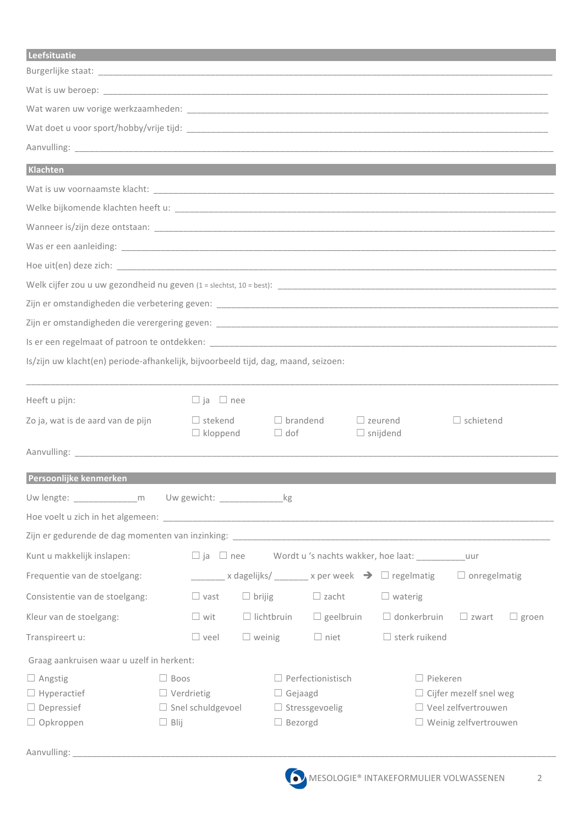| Is/zijn uw klacht(en) periode-afhankelijk, bijvoorbeeld tijd, dag, maand, seizoen:<br>Heeft u pijn:<br>ia<br> nee<br>stekend<br>brandend<br>zeurend<br>schietend<br>_snijdend<br>$\Box$ kloppend<br>$\vert$ dof<br>Persoonlijke kenmerken<br>Uw lengte: _______________________ m Uw gewicht: _______________________________ kg<br>Kunt u makkelijk inslapen:<br>$\Box$ ja $\Box$ nee<br>$\Box$ onregelmatig<br>Frequentie van de stoelgang:<br>$\blacksquare$ x dagelijks/ $\blacksquare$ x per week $\blacktriangleright$ $\blacksquare$ regelmatig<br>Consistentie van de stoelgang:<br>$\Box$ brijig<br>$\Box$ vast<br>$\Box$ zacht<br>waterig<br>$\Box$ lichtbruin<br>$\Box$ geelbruin<br>Kleur van de stoelgang:<br>wit<br>donkerbruin<br>zwart<br>groen |
|-----------------------------------------------------------------------------------------------------------------------------------------------------------------------------------------------------------------------------------------------------------------------------------------------------------------------------------------------------------------------------------------------------------------------------------------------------------------------------------------------------------------------------------------------------------------------------------------------------------------------------------------------------------------------------------------------------------------------------------------------------------------|
| Klachten<br>Zo ja, wat is de aard van de pijn                                                                                                                                                                                                                                                                                                                                                                                                                                                                                                                                                                                                                                                                                                                   |
|                                                                                                                                                                                                                                                                                                                                                                                                                                                                                                                                                                                                                                                                                                                                                                 |
|                                                                                                                                                                                                                                                                                                                                                                                                                                                                                                                                                                                                                                                                                                                                                                 |
|                                                                                                                                                                                                                                                                                                                                                                                                                                                                                                                                                                                                                                                                                                                                                                 |
|                                                                                                                                                                                                                                                                                                                                                                                                                                                                                                                                                                                                                                                                                                                                                                 |
|                                                                                                                                                                                                                                                                                                                                                                                                                                                                                                                                                                                                                                                                                                                                                                 |
|                                                                                                                                                                                                                                                                                                                                                                                                                                                                                                                                                                                                                                                                                                                                                                 |
|                                                                                                                                                                                                                                                                                                                                                                                                                                                                                                                                                                                                                                                                                                                                                                 |
|                                                                                                                                                                                                                                                                                                                                                                                                                                                                                                                                                                                                                                                                                                                                                                 |
|                                                                                                                                                                                                                                                                                                                                                                                                                                                                                                                                                                                                                                                                                                                                                                 |
|                                                                                                                                                                                                                                                                                                                                                                                                                                                                                                                                                                                                                                                                                                                                                                 |
|                                                                                                                                                                                                                                                                                                                                                                                                                                                                                                                                                                                                                                                                                                                                                                 |
|                                                                                                                                                                                                                                                                                                                                                                                                                                                                                                                                                                                                                                                                                                                                                                 |
|                                                                                                                                                                                                                                                                                                                                                                                                                                                                                                                                                                                                                                                                                                                                                                 |
|                                                                                                                                                                                                                                                                                                                                                                                                                                                                                                                                                                                                                                                                                                                                                                 |
|                                                                                                                                                                                                                                                                                                                                                                                                                                                                                                                                                                                                                                                                                                                                                                 |
|                                                                                                                                                                                                                                                                                                                                                                                                                                                                                                                                                                                                                                                                                                                                                                 |
|                                                                                                                                                                                                                                                                                                                                                                                                                                                                                                                                                                                                                                                                                                                                                                 |
|                                                                                                                                                                                                                                                                                                                                                                                                                                                                                                                                                                                                                                                                                                                                                                 |
|                                                                                                                                                                                                                                                                                                                                                                                                                                                                                                                                                                                                                                                                                                                                                                 |
|                                                                                                                                                                                                                                                                                                                                                                                                                                                                                                                                                                                                                                                                                                                                                                 |
|                                                                                                                                                                                                                                                                                                                                                                                                                                                                                                                                                                                                                                                                                                                                                                 |
|                                                                                                                                                                                                                                                                                                                                                                                                                                                                                                                                                                                                                                                                                                                                                                 |
|                                                                                                                                                                                                                                                                                                                                                                                                                                                                                                                                                                                                                                                                                                                                                                 |
|                                                                                                                                                                                                                                                                                                                                                                                                                                                                                                                                                                                                                                                                                                                                                                 |
|                                                                                                                                                                                                                                                                                                                                                                                                                                                                                                                                                                                                                                                                                                                                                                 |
|                                                                                                                                                                                                                                                                                                                                                                                                                                                                                                                                                                                                                                                                                                                                                                 |
|                                                                                                                                                                                                                                                                                                                                                                                                                                                                                                                                                                                                                                                                                                                                                                 |
|                                                                                                                                                                                                                                                                                                                                                                                                                                                                                                                                                                                                                                                                                                                                                                 |
| sterk ruikend<br>veel<br>$\Box$ weinig<br>$\Box$ niet<br>Transpireert u:                                                                                                                                                                                                                                                                                                                                                                                                                                                                                                                                                                                                                                                                                        |
|                                                                                                                                                                                                                                                                                                                                                                                                                                                                                                                                                                                                                                                                                                                                                                 |
| Graag aankruisen waar u uzelf in herkent:                                                                                                                                                                                                                                                                                                                                                                                                                                                                                                                                                                                                                                                                                                                       |
| Perfectionistisch<br>Piekeren<br>Angstig<br>Boos                                                                                                                                                                                                                                                                                                                                                                                                                                                                                                                                                                                                                                                                                                                |
| Hyperactief<br>Verdrietig<br>Cijfer mezelf snel weg<br>Gejaagd                                                                                                                                                                                                                                                                                                                                                                                                                                                                                                                                                                                                                                                                                                  |
| Depressief<br>Snel schuldgevoel<br>Stressgevoelig<br>Veel zelfvertrouwen                                                                                                                                                                                                                                                                                                                                                                                                                                                                                                                                                                                                                                                                                        |
| Opkroppen<br>Bezorgd<br>Weinig zelfvertrouwen<br>Blij                                                                                                                                                                                                                                                                                                                                                                                                                                                                                                                                                                                                                                                                                                           |
| Aanvulling:                                                                                                                                                                                                                                                                                                                                                                                                                                                                                                                                                                                                                                                                                                                                                     |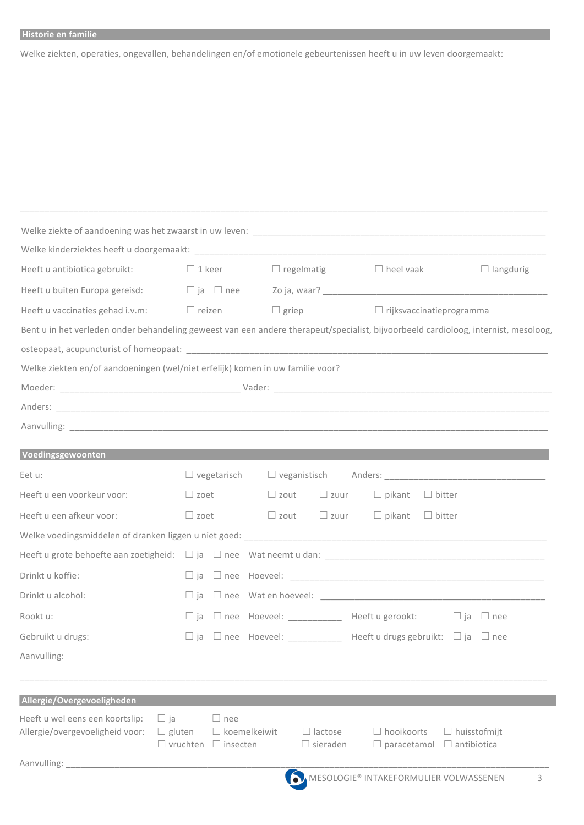## Historie en familie

Welke ziekten, operaties, ongevallen, behandelingen en/of emotionele gebeurtenissen heeft u in uw leven doorgemaakt:

| Heeft u antibiotica gebruikt:                                                                                                       | $\Box$ 1 keer                                         | □ regelmatig completed vaak                |                                                      | $\Box$ langdurig            |
|-------------------------------------------------------------------------------------------------------------------------------------|-------------------------------------------------------|--------------------------------------------|------------------------------------------------------|-----------------------------|
| Heeft u buiten Europa gereisd:                                                                                                      | $\Box$ ja $\Box$ nee                                  |                                            |                                                      |                             |
| Heeft u vaccinaties gehad i.v.m:                                                                                                    | $\Box$ reizen                                         | $\Box$ griep                               | $\Box$ rijksvaccinatieprogramma                      |                             |
| Bent u in het verleden onder behandeling geweest van een andere therapeut/specialist, bijvoorbeeld cardioloog, internist, mesoloog, |                                                       |                                            |                                                      |                             |
|                                                                                                                                     |                                                       |                                            |                                                      |                             |
| Welke ziekten en/of aandoeningen (wel/niet erfelijk) komen in uw familie voor?                                                      |                                                       |                                            |                                                      |                             |
|                                                                                                                                     |                                                       |                                            |                                                      |                             |
|                                                                                                                                     |                                                       |                                            |                                                      |                             |
|                                                                                                                                     |                                                       |                                            |                                                      |                             |
|                                                                                                                                     |                                                       |                                            |                                                      |                             |
| Voedingsgewoonten                                                                                                                   |                                                       |                                            |                                                      |                             |
| Eet u:                                                                                                                              | vegetarisch                                           |                                            | veganistisch Anders: Weganistisch State              |                             |
| Heeft u een voorkeur voor:                                                                                                          | zoet                                                  | zout<br>$\Box$ zuur                        | pikant<br>bitter                                     |                             |
| Heeft u een afkeur voor:                                                                                                            | zoet                                                  | $\Box$ zout                                | zuur pikant<br>$\Box$ bitter                         |                             |
|                                                                                                                                     |                                                       |                                            |                                                      |                             |
|                                                                                                                                     |                                                       |                                            |                                                      |                             |
| Drinkt u koffie:                                                                                                                    |                                                       |                                            |                                                      |                             |
| Drinkt u alcohol:                                                                                                                   | ja                                                    |                                            |                                                      |                             |
| Rookt u:                                                                                                                            | ia                                                    | nee Hoeveel: ____________ Heeft u gerookt: | l lja                                                | nee                         |
| Gebruikt u drugs:                                                                                                                   | ja                                                    |                                            | nee Hoeveel: __________ Heeft u drugs gebruikt: □ ja | nee                         |
| Aanvulling:                                                                                                                         |                                                       |                                            |                                                      |                             |
|                                                                                                                                     |                                                       |                                            |                                                      |                             |
| Allergie/Overgevoeligheden                                                                                                          |                                                       |                                            |                                                      |                             |
| Heeft u wel eens een koortslip:<br>ja<br>Allergie/overgevoeligheid voor:                                                            | nee<br>koemelkeiwit<br>gluten<br>vruchten<br>insecten | lactose<br>sieraden                        | hooikoorts<br>paracetamol                            | huisstofmijt<br>antibiotica |
| Aanvulling:                                                                                                                         |                                                       |                                            |                                                      |                             |
|                                                                                                                                     |                                                       |                                            | MESOLOGIE® INTAKEFORMULIER VOLWASSENEN               |                             |